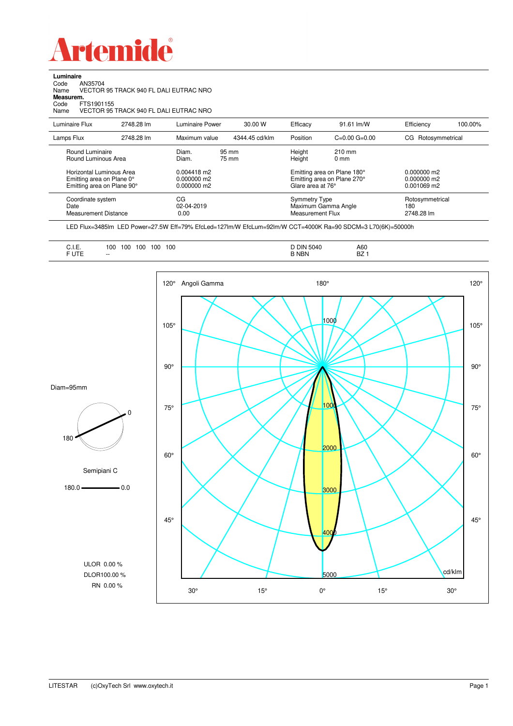

**Luminaire**<br>Code /<br>Name \ Code AN35704 Name VECTOR 95 TRACK 940 FL DALI EUTRAC NRO

**Measurem.**

Code FTS1901155 Name VECTOR 95 TRACK 940 FL DALI EUTRAC NRO

| Luminaire Flux                                                     | 2748.28 lm | Luminaire Power                 | 30.00 W        | Efficacy                          | 91.61 lm/W                                                        | Efficiency                           | 100.00% |
|--------------------------------------------------------------------|------------|---------------------------------|----------------|-----------------------------------|-------------------------------------------------------------------|--------------------------------------|---------|
| Lamps Flux                                                         | 2748.28 lm | Maximum value                   | 4344.45 cd/klm | Position                          | $C=0.00$ $G=0.00$                                                 | CG Rotosymmetrical                   |         |
| Round Luminaire<br>Round Luminous Area<br>Horizontal Luminous Area |            | Diam.<br>Diam.<br>$0.004418$ m2 | 95 mm<br>75 mm | Height<br>Height                  | $210 \text{ mm}$<br>$0 \text{ mm}$<br>Emitting area on Plane 180° | $0.000000$ m2                        |         |
| Emitting area on Plane 0°<br>Emitting area on Plane 90°            |            | $0.000000$ m2<br>$0.000000$ m2  |                | Glare area at 76°                 | Emitting area on Plane 270°                                       | $0.000000$ m2<br>$0.001069$ m2       |         |
| Coordinate system<br>Date<br><b>Measurement Distance</b>           |            | CG<br>02-04-2019<br>0.00        |                | Symmetry Type<br>Measurement Flux | Maximum Gamma Angle                                               | Rotosymmetrical<br>180<br>2748.28 lm |         |

LED Flux=3485lm LED Power=27.5W Eff=79% EfcLed=127lm/W EfcLum=92lm/W CCT=4000K Ra=90 SDCM=3 L70(6K)=50000h